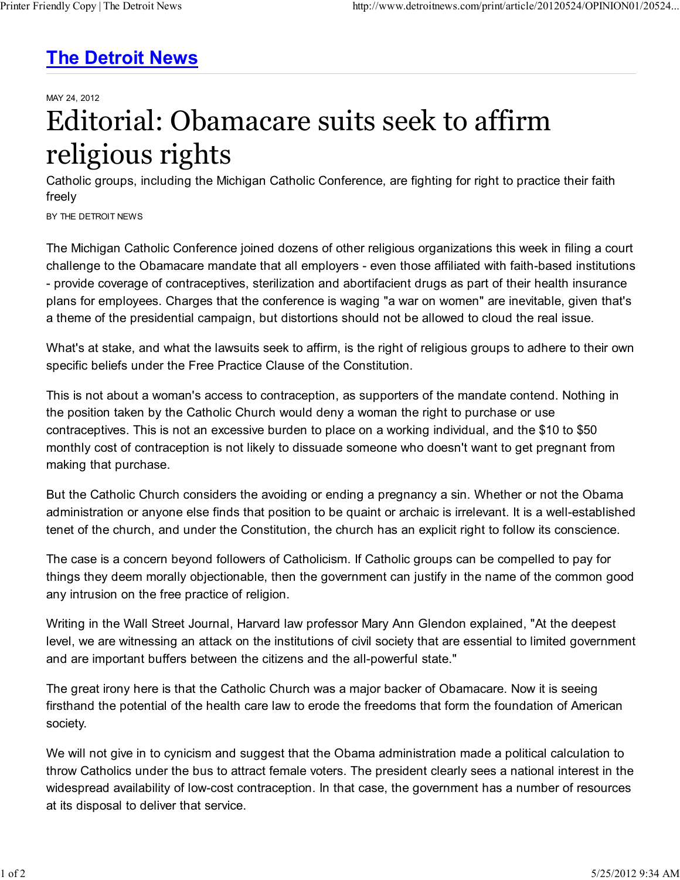## **The Detroit News**

MAY 24, 2012

## Editorial: Obamacare suits seek to affirm religious rights

Catholic groups, including the Michigan Catholic Conference, are fighting for right to practice their faith freely

BY THE DETROIT NEWS

The Michigan Catholic Conference joined dozens of other religious organizations this week in filing a court challenge to the Obamacare mandate that all employers - even those affiliated with faith-based institutions - provide coverage of contraceptives, sterilization and abortifacient drugs as part of their health insurance plans for employees. Charges that the conference is waging "a war on women" are inevitable, given that's a theme of the presidential campaign, but distortions should not be allowed to cloud the real issue.

What's at stake, and what the lawsuits seek to affirm, is the right of religious groups to adhere to their own specific beliefs under the Free Practice Clause of the Constitution.

This is not about a woman's access to contraception, as supporters of the mandate contend. Nothing in the position taken by the Catholic Church would deny a woman the right to purchase or use contraceptives. This is not an excessive burden to place on a working individual, and the \$10 to \$50 monthly cost of contraception is not likely to dissuade someone who doesn't want to get pregnant from making that purchase.

But the Catholic Church considers the avoiding or ending a pregnancy a sin. Whether or not the Obama administration or anyone else finds that position to be quaint or archaic is irrelevant. It is a well-established tenet of the church, and under the Constitution, the church has an explicit right to follow its conscience.

The case is a concern beyond followers of Catholicism. If Catholic groups can be compelled to pay for things they deem morally objectionable, then the government can justify in the name of the common good any intrusion on the free practice of religion.

Writing in the Wall Street Journal, Harvard law professor Mary Ann Glendon explained, "At the deepest level, we are witnessing an attack on the institutions of civil society that are essential to limited government and are important buffers between the citizens and the all-powerful state."

The great irony here is that the Catholic Church was a major backer of Obamacare. Now it is seeing firsthand the potential of the health care law to erode the freedoms that form the foundation of American society.

We will not give in to cynicism and suggest that the Obama administration made a political calculation to throw Catholics under the bus to attract female voters. The president clearly sees a national interest in the widespread availability of low-cost contraception. In that case, the government has a number of resources at its disposal to deliver that service.